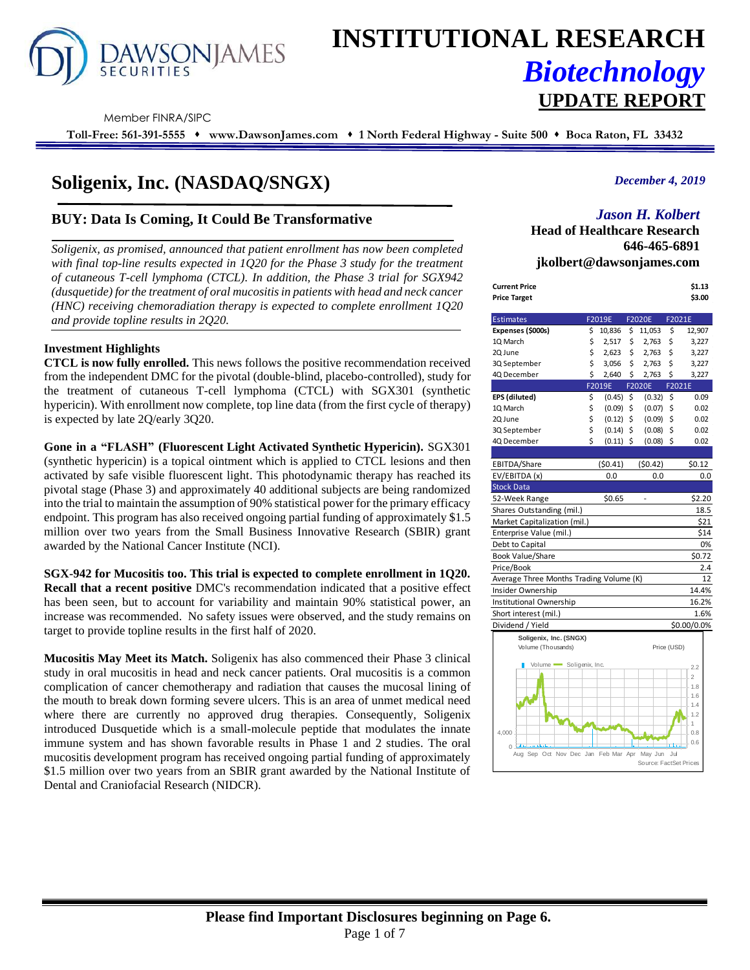

# **INSTITUTIONAL RESEARCH** *Biotechnology* **UPDATE REPORT**

Member FINRA/SIPC

**Toll-Free: 561-391-5555** ⬧ **www.DawsonJames.com** ⬧ **1 North Federal Highway - Suite 500** ⬧ **Boca Raton, FL 33432**

# **Soligenix, Inc. (NASDAQ/SNGX)**

# **BUY: Data Is Coming, It Could Be Transformative**

*Soligenix, as promised, announced that patient enrollment has now been completed with final top-line results expected in 1Q20 for the Phase 3 study for the treatment of cutaneous T-cell lymphoma (CTCL). In addition, the Phase 3 trial for SGX942 (dusquetide) for the treatment of oral mucositis in patients with head and neck cancer (HNC) receiving chemoradiation therapy is expected to complete enrollment 1Q20 and provide topline results in 2Q20.* 

#### **Investment Highlights**

**CTCL is now fully enrolled.** This news follows the positive recommendation received from the independent DMC for the pivotal (double-blind, placebo-controlled), study for the treatment of cutaneous T-cell lymphoma (CTCL) with SGX301 (synthetic hypericin). With enrollment now complete, top line data (from the first cycle of therapy) is expected by late 2Q/early 3Q20.

**Gone in a "FLASH" (Fluorescent Light Activated Synthetic Hypericin).** SGX301 (synthetic hypericin) is a topical ointment which is applied to CTCL lesions and then activated by safe visible fluorescent light. This photodynamic therapy has reached its pivotal stage (Phase 3) and approximately 40 additional subjects are being randomized into the trial to maintain the assumption of 90% statistical power for the primary efficacy endpoint. This program has also received ongoing partial funding of approximately \$1.5 million over two years from the Small Business Innovative Research (SBIR) grant awarded by the National Cancer Institute (NCI).

#### **SGX-942 for Mucositis too. This trial is expected to complete enrollment in 1Q20. Recall that a recent positive** DMC's recommendation indicated that a positive effect has been seen, but to account for variability and maintain 90% statistical power, an increase was recommended. No safety issues were observed, and the study remains on target to provide topline results in the first half of 2020.

**Mucositis May Meet its Match.** Soligenix has also commenced their Phase 3 clinical study in oral mucositis in head and neck cancer patients. Oral mucositis is a common complication of cancer chemotherapy and radiation that causes the mucosal lining of the mouth to break down forming severe ulcers. This is an area of unmet medical need where there are currently no approved drug therapies. Consequently, Soligenix introduced Dusquetide which is a small-molecule peptide that modulates the innate immune system and has shown favorable results in Phase 1 and 2 studies. The oral mucositis development program has received ongoing partial funding of approximately \$1.5 million over two years from an SBIR grant awarded by the National Institute of Dental and Craniofacial Research (NIDCR).

## *December 4, 2019*

# *Jason H. Kolbert*

**Head of Healthcare Research 646-465-6891 jkolbert@dawsonjames.com**

| Current Price | \$1.13 |
|---------------|--------|
| Price Target  | \$3.00 |

| <b>Estimates</b>                            | F2019E            | <b>F2020E</b>          | F2021E      |                       |
|---------------------------------------------|-------------------|------------------------|-------------|-----------------------|
| Expenses (\$000s)                           | \$<br>10,836      | \$<br>11,053           | \$          | 12,907                |
| 10 March                                    | \$<br>2,517       | \$<br>2,763            | \$          | 3,227                 |
| 2Q June                                     | \$<br>2,623       | \$<br>2,763            | \$          | 3,227                 |
| 3Q September                                | \$<br>3,056       | \$<br>2,763            | \$          | 3,227                 |
| 4Q December                                 | \$<br>2,640       | \$<br>2,763            | \$          | 3,227                 |
|                                             | F2019E            | F2020E                 | F2021E      |                       |
| EPS (diluted)                               | \$<br>(0.45)      | \$<br>(0.32)           | \$          | 0.09                  |
| 1Q March                                    | \$<br>(0.09)      | \$<br>(0.07)           | \$          | 0.02                  |
| 2Q June                                     | \$<br>$(0.12)$ \$ | (0.09)                 | \$          | 0.02                  |
| 3Q September                                | \$<br>$(0.14)$ \$ | (0.08)                 | \$          | 0.02                  |
| 4Q December                                 | \$<br>$(0.11)$ \$ | (0.08)                 | \$          | 0.02                  |
|                                             |                   |                        |             |                       |
| EBITDA/Share                                | (50.41)           | (50.42)                |             | \$0.12                |
| EV/EBITDA (x)                               | 0.0               | 0.0                    |             | 0.0                   |
| <b>Stock Data</b>                           |                   |                        |             |                       |
| 52-Week Range                               | \$0.65            | $\overline{a}$         |             | \$2.20                |
| Shares Outstanding (mil.)                   |                   |                        |             | 18.5                  |
| Market Capitalization (mil.)                |                   |                        |             | \$21                  |
| Enterprise Value (mil.)                     |                   |                        |             | \$14                  |
| Debt to Capital                             |                   |                        |             | 0%                    |
| <b>Book Value/Share</b>                     |                   |                        |             | \$0.72                |
| Price/Book                                  |                   |                        |             | 2.4                   |
| Average Three Months Trading Volume (K)     |                   |                        |             | 12                    |
| Insider Ownership                           |                   |                        |             | 14.4%                 |
| Institutional Ownership                     |                   |                        |             | 16.2%                 |
| Short interest (mil.)                       |                   |                        |             | 1.6%                  |
| Dividend / Yield                            |                   |                        |             | \$0.00/0.0%           |
| Soligenix, Inc. (SNGX)                      |                   |                        |             |                       |
| Volume (Thousands)                          |                   |                        | Price (USD) |                       |
| Volume Soligenix, Inc.                      |                   |                        |             |                       |
|                                             |                   |                        |             | 2.2                   |
|                                             |                   |                        |             | $\overline{2}$<br>1.8 |
|                                             |                   |                        |             | 1.6                   |
|                                             |                   |                        |             | 1.4                   |
|                                             |                   |                        |             | 1.2                   |
|                                             |                   |                        |             | 1                     |
| 4,000                                       |                   |                        |             | 0.8                   |
| $\Omega$                                    |                   |                        |             | 0.6                   |
| Aug Sep Oct Nov Dec Jan Feb Mar Apr May Jun |                   | Source: FactSet Prices | Jul         |                       |
|                                             |                   |                        |             |                       |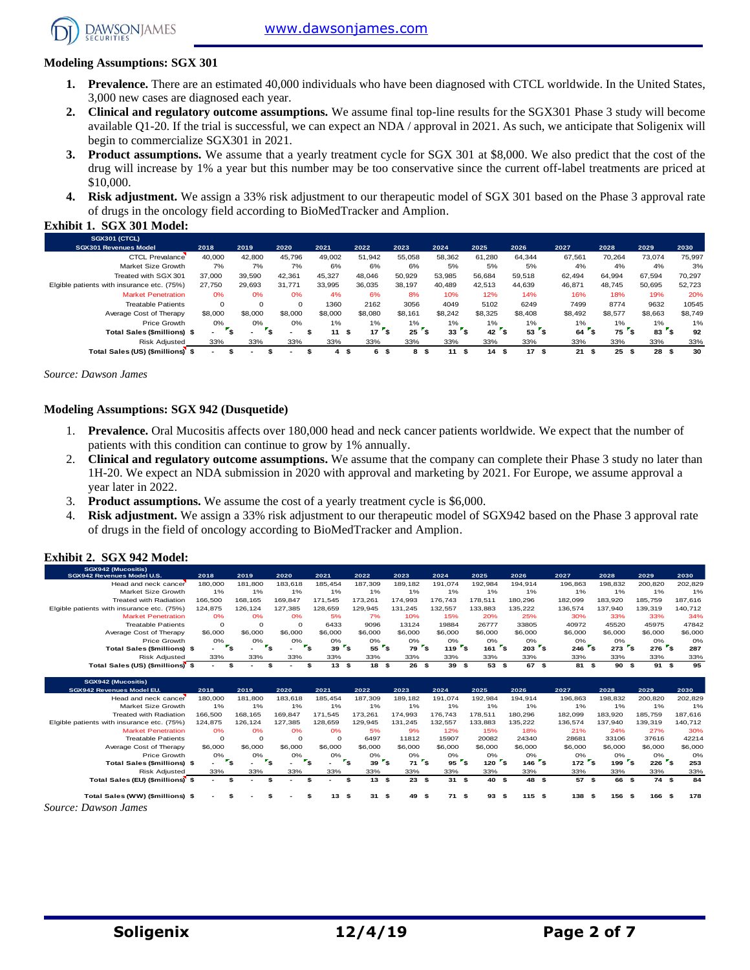[www.dawsonjames.com](http://www.dawsonjames.com/)



**Exhibit 1. SGX 301 Model:** 

## **Modeling Assumptions: SGX 301**

- **1. Prevalence.** There are an estimated 40,000 individuals who have been diagnosed with CTCL worldwide. In the United States, 3,000 new cases are diagnosed each year.
- **2. Clinical and regulatory outcome assumptions.** We assume final top-line results for the SGX301 Phase 3 study will become available Q1-20. If the trial is successful, we can expect an NDA / approval in 2021. As such, we anticipate that Soligenix will begin to commercialize SGX301 in 2021.
- **3. Product assumptions.** We assume that a yearly treatment cycle for SGX 301 at \$8,000. We also predict that the cost of the drug will increase by 1% a year but this number may be too conservative since the current off-label treatments are priced at \$10,000.
- **4. Risk adjustment.** We assign a 33% risk adjustment to our therapeutic model of SGX 301 based on the Phase 3 approval rate of drugs in the oncology field according to BioMedTracker and Amplion.

| SGX301 (CTCL)                              |          |             |          |         |                  |         |          |         |            |            |            |            |         |
|--------------------------------------------|----------|-------------|----------|---------|------------------|---------|----------|---------|------------|------------|------------|------------|---------|
| <b>SGX301 Revenues Model</b>               | 2018     | 2019        | 2020     | 2021    | 2022             | 2023    | 2024     | 2025    | 2026       | 2027       | 2028       | 2029       | 2030    |
| <b>CTCL Prevalance</b>                     | 40,000   | 42,800      | 45.796   | 49,002  | 51,942           | 55,058  | 58,362   | 61,280  | 64.344     | 67,561     | 70.264     | 73.074     | 75,997  |
| Market Size Growth                         | 7%       | 7%          | 7%       | 6%      | 6%               | 6%      | 5%       | 5%      | 5%         | 4%         | 4%         | 4%         | 3%      |
| Treated with SGX 301                       | 37,000   | 39,590      | 42.361   | 45.327  | 48.046           | 50,929  | 53.985   | 56.684  | 59.518     | 62.494     | 64.994     | 67.594     | 70,297  |
| Elgible patients with insurance etc. (75%) | 27.750   | 29.693      | 31.771   | 33.995  | 36.035           | 38,197  | 40.489   | 42.513  | 44.639     | 46,871     | 48.745     | 50,695     | 52,723  |
| <b>Market Penetration</b>                  | 0%       | 0%          | 0%       | 4%      | 6%               | 8%      | 10%      | 12%     | 14%        | 16%        | 18%        | 19%        | 20%     |
| <b>Treatable Patients</b>                  | $\Omega$ | $\mathbf 0$ | $\Omega$ | 1360    | 2162             | 3056    | 4049     | 5102    | 6249       | 7499       | 8774       | 9632       | 10545   |
| Average Cost of Therapy                    | \$8,000  | \$8,000     | \$8,000  | \$8,000 | \$8,080          | \$8.161 | \$8.242  | \$8.325 | \$8,408    | \$8,492    | \$8,577    | \$8,663    | \$8,749 |
| Price Growth                               | 0%       | 0%          | 0%       | 1%      | $1\%$            | 1%      | 1%       | $1\%$   | $1\%$      | 1%         | $1\%$      | $1\%$      | 1%      |
| <b>Total Sales (\$millions) \$</b>         | $\sim$   | ÷           |          | 11      | 17<br>ŝ.<br>- 55 | 25      | 33<br>э. | 42      | ' \$<br>53 | 64         | 75<br>۵.   | 83         | 92      |
| <b>Risk Adjusted</b>                       | 33%      | 33%         | 33%      | 33%     | 33%              | 33%     | 33%      | 33%     | 33%        | 33%        | 33%        | 33%        | 33%     |
| Total Sales (US) (\$millions) \$           |          |             |          | 4       | 6<br>\$<br>ж     | 8<br>-9 | 11<br>ŝ. | 14<br>9 | 17<br>- \$ | 21<br>- 55 | 25<br>- \$ | 28<br>- 55 | 30      |

*Source: Dawson James*

#### **Modeling Assumptions: SGX 942 (Dusquetide)**

- 1. **Prevalence.** Oral Mucositis affects over 180,000 head and neck cancer patients worldwide. We expect that the number of patients with this condition can continue to grow by 1% annually.
- 2. **Clinical and regulatory outcome assumptions.** We assume that the company can complete their Phase 3 study no later than 1H-20. We expect an NDA submission in 2020 with approval and marketing by 2021. For Europe, we assume approval a year later in 2022.
- 3. **Product assumptions.** We assume the cost of a yearly treatment cycle is \$6,000.
- 4. **Risk adjustment.** We assign a 33% risk adjustment to our therapeutic model of SGX942 based on the Phase 3 approval rate of drugs in the field of oncology according to BioMedTracker and Amplion.

#### **Exhibit 2. SGX 942 Model:**

| SGX942 (Mucositis)<br>SGX942 Revenues Model U.S. | 2018                     | 2019     | 2020                                   | 2021      | 2022                                  | 2023                          | 2024                                  | 2025                             | 2026                                        | 2027      | 2028                               | 2029        | 2030    |
|--------------------------------------------------|--------------------------|----------|----------------------------------------|-----------|---------------------------------------|-------------------------------|---------------------------------------|----------------------------------|---------------------------------------------|-----------|------------------------------------|-------------|---------|
| Head and neck cancer                             | 180,000                  | 181,800  | 183.618                                | 185.454   | 187.309                               | 189,182                       | 191.074                               | 192.984                          | 194.914                                     | 196,863   | 198,832                            | 200.820     | 202,829 |
| Market Size Growth                               | 1%                       | 1%       | 1%                                     | 1%        | 1%                                    | 1%                            | 1%                                    | 1%                               | 1%                                          | 1%        | 1%                                 | 1%          | 1%      |
| <b>Treated with Radiation</b>                    | 166,500                  | 168.165  | 169.847                                | 171.545   | 173.261                               | 174.993                       | 176.743                               | 178.511                          | 180.296                                     | 182.099   | 183.920                            | 185,759     | 187.616 |
| Elgible patients with insurance etc. (75%)       | 124,875                  | 126,124  | 127,385                                | 128,659   | 129,945                               | 131,245                       | 132,557                               | 133,883                          | 135,222                                     | 136,574   | 137,940                            | 139,319     | 140,712 |
| <b>Market Penetration</b>                        | 0%                       | 0%       | 0%                                     | 5%        | 7%                                    | 10%                           | 15%                                   | 20%                              | 25%                                         | 30%       | 33%                                | 33%         | 34%     |
| <b>Treatable Patients</b>                        | $\Omega$                 | $\Omega$ | $\Omega$                               | 6433      | 9096                                  | 13124                         | 19884                                 | 26777                            | 33805                                       | 40972     | 45520                              | 45975       | 47842   |
| Average Cost of Therapy                          | \$6,000                  | \$6,000  | \$6,000                                | \$6,000   | \$6,000                               | \$6,000                       | \$6,000                               | \$6,000                          | \$6,000                                     | \$6,000   | \$6,000                            | \$6,000     | \$6,000 |
| Price Growth                                     | 0%                       | 0%       | 0%                                     | 0%        | 0%                                    | 0%                            | 0%                                    | 0%                               | 0%                                          | 0%        | 0%                                 | 0%          | O%      |
| <b>Total Sales (\$millions) \$</b>               |                          | ۰,       | $r_{s}$<br>$\mathbf{r}_\mathbf{s}$     | 39        | $55$ $s$<br>$\mathbf{r}_{\mathsf{S}}$ | 79                            | $1197$ s<br>$\mathbf{r}_{\mathbf{S}}$ | $161$ s                          | $203$ s                                     | 246       | $273$ s<br>$\mathbf{r}_\mathbf{s}$ | $276$ s     | 287     |
| <b>Risk Adjusted</b>                             | 33%                      | 33%      | 33%                                    | 33%       | 33%                                   | 33%                           | 33%                                   | 33%                              | 33%                                         | 33%       | 33%                                | 33%         | 33%     |
| Total Sales (US) (\$millions) \$                 | $\overline{\phantom{a}}$ | \$       | \$                                     | 13S<br>\$ | 18S                                   | 26                            | 39S<br>\$                             | 53 \$                            | 67 \$                                       | 81 \$     | 90                                 | 91S<br>\$   | 95      |
|                                                  |                          |          |                                        |           |                                       |                               |                                       |                                  |                                             |           |                                    |             |         |
| SGX942 (Mucositis)                               |                          |          |                                        |           |                                       |                               |                                       |                                  |                                             |           |                                    |             |         |
|                                                  |                          |          |                                        |           |                                       |                               |                                       |                                  |                                             |           |                                    |             |         |
| SGX942 Revenues Model EU.                        | 2018                     | 2019     | 2020                                   | 2021      | 2022                                  | 2023                          | 2024                                  | 2025                             | 2026                                        | 2027      | 2028                               | 2029        | 2030    |
| Head and neck cancer                             | 180,000                  | 181,800  | 183,618                                | 185,454   | 187,309                               | 189,182                       | 191,074                               | 192,984                          | 194,914                                     | 196,863   | 198,832                            | 200,820     | 202,829 |
| Market Size Growth                               | 1%                       | 1%       | 1%                                     | 1%        | 1%                                    | 1%                            | 1%                                    | 1%                               | 1%                                          | 1%        | 1%                                 | 1%          | 1%      |
| <b>Treated with Radiation</b>                    | 166,500                  | 168,165  | 169,847                                | 171.545   | 173.261                               | 174,993                       | 176,743                               | 178,511                          | 180,296                                     | 182,099   | 183,920                            | 185,759     | 187,616 |
| Elgible patients with insurance etc. (75%)       | 124,875                  | 126,124  | 127.385                                | 128.659   | 129.945                               | 131.245                       | 132,557                               | 133,883                          | 135,222                                     | 136,574   | 137,940                            | 139,319     | 140,712 |
| <b>Market Penetration</b>                        | 0%                       | 0%       | 0%                                     | 0%        | 5%                                    | 9%                            | 12%                                   | 15%                              | 18%                                         | 21%       | 24%                                | 27%         | 30%     |
| <b>Treatable Patients</b>                        | $\Omega$                 | $\Omega$ | $\Omega$                               | $\Omega$  | 6497                                  | 11812                         | 15907                                 | 20082                            | 24340                                       | 28681     | 33106                              | 37616       | 42214   |
| Average Cost of Therapy                          | \$6,000                  | \$6,000  | \$6,000                                | \$6,000   | \$6,000                               | \$6,000                       | \$6,000                               | \$6,000                          | \$6,000                                     | \$6,000   | \$6,000                            | \$6,000     | \$6,000 |
| Price Growth                                     | 0%                       | 0%       | 0%                                     | O%        | 0%                                    | 0%                            | 0%                                    | 0%                               | 0%                                          | 0%        | 0%                                 | 0%          | O%      |
| Total Sales (\$millions) \$                      | $\overline{\phantom{0}}$ | ۰,       | $\mathbf{r}_\mathbf{s}$<br>$r_{\rm s}$ |           | $r_{s}$<br>39                         | $\mathbf{r}_\mathbf{S}$<br>71 | $\mathbf{r}_{\mathbf{S}}$<br>95       | $\mathbf{r}_{\mathbf{s}}$<br>120 | $\mathbf{r}_{\mathbf{s}}$<br>$146^\circ$ \$ | $172$ s   | 199 <sup>5</sup>                   | $226$ s     | 253     |
| <b>Risk Adjusted</b>                             | 33%                      | 33%      | 33%                                    | 33%       | 33%                                   | 33%                           | 33%                                   | 33%                              | 33%                                         | 33%       | 33%                                | 33%         | 33%     |
| Total Sales (EU) (\$millions) \$                 |                          |          | \$                                     | \$        | 13S<br>\$                             | 23                            | \$<br>31S                             | 40 \$                            | 48                                          | 57S<br>\$ | 66                                 | \$<br>74 \$ | 84      |

*Source: Dawson James*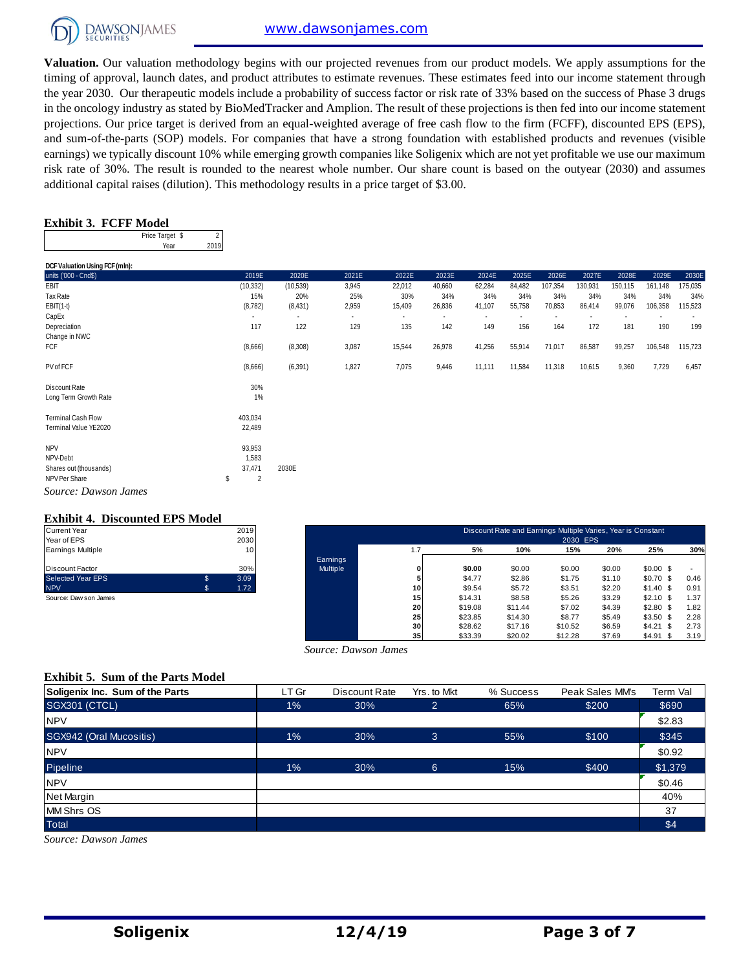

**Valuation.** Our valuation methodology begins with our projected revenues from our product models. We apply assumptions for the timing of approval, launch dates, and product attributes to estimate revenues. These estimates feed into our income statement through the year 2030. Our therapeutic models include a probability of success factor or risk rate of 33% based on the success of Phase 3 drugs in the oncology industry as stated by BioMedTracker and Amplion. The result of these projections is then fed into our income statement projections. Our price target is derived from an equal-weighted average of free cash flow to the firm (FCFF), discounted EPS (EPS), and sum-of-the-parts (SOP) models. For companies that have a strong foundation with established products and revenues (visible earnings) we typically discount 10% while emerging growth companies like Soligenix which are not yet profitable we use our maximum risk rate of 30%. The result is rounded to the nearest whole number. Our share count is based on the outyear (2030) and assumes additional capital raises (dilution). This methodology results in a price target of \$3.00.

#### **Exhibit 3. FCFF Model**

| Price Target \$ |      |
|-----------------|------|
| Year            | 2019 |

| DCF Valuation Using FCF (mln): |                      |                          |                          |                          |                |        |                          |                          |                          |         |         |         |
|--------------------------------|----------------------|--------------------------|--------------------------|--------------------------|----------------|--------|--------------------------|--------------------------|--------------------------|---------|---------|---------|
| units ('000 - Cnd\$)           | 2019E                | 2020E                    | 2021E                    | 2022E                    | 2023E          | 2024E  | 2025E                    | 2026E                    | 2027E                    | 2028E   | 2029E   | 2030E   |
| EBIT                           | (10, 332)            | (10, 539)                | 3,945                    | 22,012                   | 40,660         | 62,284 | 84,482                   | 107,354                  | 130,931                  | 150,115 | 161,148 | 175,035 |
| Tax Rate                       | 15%                  | 20%                      | 25%                      | 30%                      | 34%            | 34%    | 34%                      | 34%                      | 34%                      | 34%     | 34%     | 34%     |
| $EBIT(1-t)$                    | (8, 782)             | (8, 431)                 | 2,959                    | 15,409                   | 26,836         | 41,107 | 55,758                   | 70,853                   | 86,414                   | 99,076  | 106,358 | 115,523 |
| CapEx                          |                      | $\overline{\phantom{a}}$ | $\overline{\phantom{a}}$ | $\overline{\phantom{a}}$ | $\blacksquare$ | $\sim$ | $\overline{\phantom{a}}$ | $\overline{\phantom{a}}$ | $\overline{\phantom{a}}$ |         |         |         |
| Depreciation                   | 117                  | 122                      | 129                      | 135                      | 142            | 149    | 156                      | 164                      | 172                      | 181     | 190     | 199     |
| Change in NWC                  |                      |                          |                          |                          |                |        |                          |                          |                          |         |         |         |
| FCF                            | (8,666)              | (8,308)                  | 3,087                    | 15,544                   | 26,978         | 41,256 | 55,914                   | 71,017                   | 86,587                   | 99,257  | 106,548 | 115,723 |
| PV of FCF                      | (8,666)              | (6, 391)                 | 1,827                    | 7,075                    | 9,446          | 11,111 | 11,584                   | 11,318                   | 10,615                   | 9,360   | 7,729   | 6,457   |
|                                |                      |                          |                          |                          |                |        |                          |                          |                          |         |         |         |
| Discount Rate                  | 30%                  |                          |                          |                          |                |        |                          |                          |                          |         |         |         |
| Long Term Growth Rate          | 1%                   |                          |                          |                          |                |        |                          |                          |                          |         |         |         |
| <b>Terminal Cash Flow</b>      | 403,034              |                          |                          |                          |                |        |                          |                          |                          |         |         |         |
| Terminal Value YE2020          | 22,489               |                          |                          |                          |                |        |                          |                          |                          |         |         |         |
|                                |                      |                          |                          |                          |                |        |                          |                          |                          |         |         |         |
| <b>NPV</b>                     | 93,953               |                          |                          |                          |                |        |                          |                          |                          |         |         |         |
| NPV-Debt                       | 1,583                |                          |                          |                          |                |        |                          |                          |                          |         |         |         |
| Shares out (thousands)         | 37,471               | 2030E                    |                          |                          |                |        |                          |                          |                          |         |         |         |
| NPV Per Share                  | \$<br>$\overline{2}$ |                          |                          |                          |                |        |                          |                          |                          |         |         |         |
| Source: Dawson James           |                      |                          |                          |                          |                |        |                          |                          |                          |         |         |         |

#### **Exhibit 4. Discounted EPS Model**

| <b>Current Year</b>      |    | 2019 |
|--------------------------|----|------|
| Year of EPS              |    | 2030 |
| <b>Earnings Multiple</b> |    | 10   |
| Discount Factor          |    | 30%  |
| <b>Selected Year EPS</b> | .S | 3.09 |
| <b>NPV</b>               | S. | 1.72 |
| Source: Daw son James    |    |      |

| Current Year          |    | 2019 |          |     |         | Discount Rate and Earnings Multiple Varies, Year is Constant |          |        |            |      |
|-----------------------|----|------|----------|-----|---------|--------------------------------------------------------------|----------|--------|------------|------|
| Year of EPS           |    | 2030 |          |     |         |                                                              | 2030 EPS |        |            |      |
| Earnings Multiple     |    | 10   |          | 1.7 | 5%      | 10%                                                          | 15%      | 20%    | 25%        | 30%  |
|                       |    |      | Earnings |     |         |                                                              |          |        |            |      |
| Discount Factor       |    | 30%  | Multiple |     | \$0.00  | \$0.00                                                       | \$0.00   | \$0.00 | $$0.00$ \$ |      |
| Selected Year EPS     | \$ | 3.09 |          |     | \$4.77  | \$2.86                                                       | \$1.75   | \$1.10 | $$0.70$ \$ | 0.46 |
| <b>NPV</b>            | s. | 1.72 |          | 10  | \$9.54  | \$5.72                                                       | \$3.51   | \$2.20 | $$1.40$ \$ | 0.91 |
| Source: Daw son James |    |      |          | 15  | \$14.31 | \$8.58                                                       | \$5.26   | \$3.29 | $$2.10$ \$ | 1.37 |
|                       |    |      |          | 20  | \$19.08 | \$11.44                                                      | \$7.02   | \$4.39 | $$2.80$ \$ | 1.82 |
|                       |    |      |          | 25  | \$23.85 | \$14.30                                                      | \$8.77   | \$5.49 | $$3.50$ \$ | 2.28 |
|                       |    |      |          | 30  | \$28.62 | \$17.16                                                      | \$10.52  | \$6.59 | $$4.21$ \$ | 2.73 |
|                       |    |      |          | 35  | \$33.39 | \$20.02                                                      | \$12.28  | \$7.69 | $$4.91$ \$ | 3.19 |

#### **Exhibit 5. Sum of the Parts Model**

|                                          |       | Source: Dawson James |                |           |                 |          |
|------------------------------------------|-------|----------------------|----------------|-----------|-----------------|----------|
| <b>Exhibit 5. Sum of the Parts Model</b> |       |                      |                |           |                 |          |
| Soligenix Inc. Sum of the Parts          | LT Gr | Discount Rate        | Yrs. to Mkt    | % Success | Peak Sales MM's | Term Val |
| SGX301 (CTCL)                            | 1%    | 30%                  | $\overline{2}$ | 65%       | \$200           | \$690    |
| <b>NPV</b>                               |       |                      |                |           |                 | \$2.83   |
| SGX942 (Oral Mucositis)                  | $1\%$ | 30%                  | 3              | 55%       | \$100           | \$345    |
| <b>NPV</b>                               |       |                      |                |           |                 | \$0.92   |
| Pipeline                                 | 1%    | 30%                  | 6              | 15%       | \$400           | \$1,379  |
| <b>NPV</b>                               |       |                      |                |           |                 | \$0.46   |
| Net Margin                               |       |                      |                |           |                 | 40%      |
| <b>MM Shrs OS</b>                        |       |                      |                |           |                 | 37       |
| <b>Total</b>                             |       |                      |                |           |                 | \$4      |
| Source: Dawson James                     |       |                      |                |           |                 |          |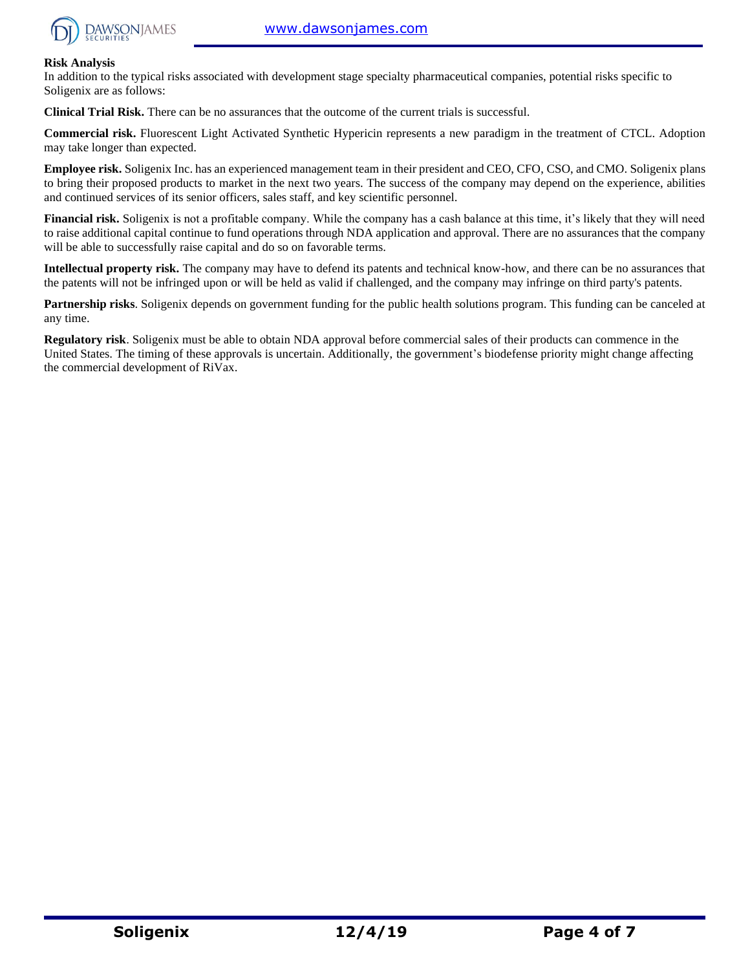

#### **Risk Analysis**

In addition to the typical risks associated with development stage specialty pharmaceutical companies, potential risks specific to Soligenix are as follows:

**Clinical Trial Risk.** There can be no assurances that the outcome of the current trials is successful.

**Commercial risk.** Fluorescent Light Activated Synthetic Hypericin represents a new paradigm in the treatment of CTCL. Adoption may take longer than expected.

**Employee risk.** Soligenix Inc. has an experienced management team in their president and CEO, CFO, CSO, and CMO. Soligenix plans to bring their proposed products to market in the next two years. The success of the company may depend on the experience, abilities and continued services of its senior officers, sales staff, and key scientific personnel.

**Financial risk.** Soligenix is not a profitable company. While the company has a cash balance at this time, it's likely that they will need to raise additional capital continue to fund operations through NDA application and approval. There are no assurances that the company will be able to successfully raise capital and do so on favorable terms.

**Intellectual property risk.** The company may have to defend its patents and technical know-how, and there can be no assurances that the patents will not be infringed upon or will be held as valid if challenged, and the company may infringe on third party's patents.

**Partnership risks**. Soligenix depends on government funding for the public health solutions program. This funding can be canceled at any time.

**Regulatory risk**. Soligenix must be able to obtain NDA approval before commercial sales of their products can commence in the United States. The timing of these approvals is uncertain. Additionally, the government's biodefense priority might change affecting the commercial development of RiVax.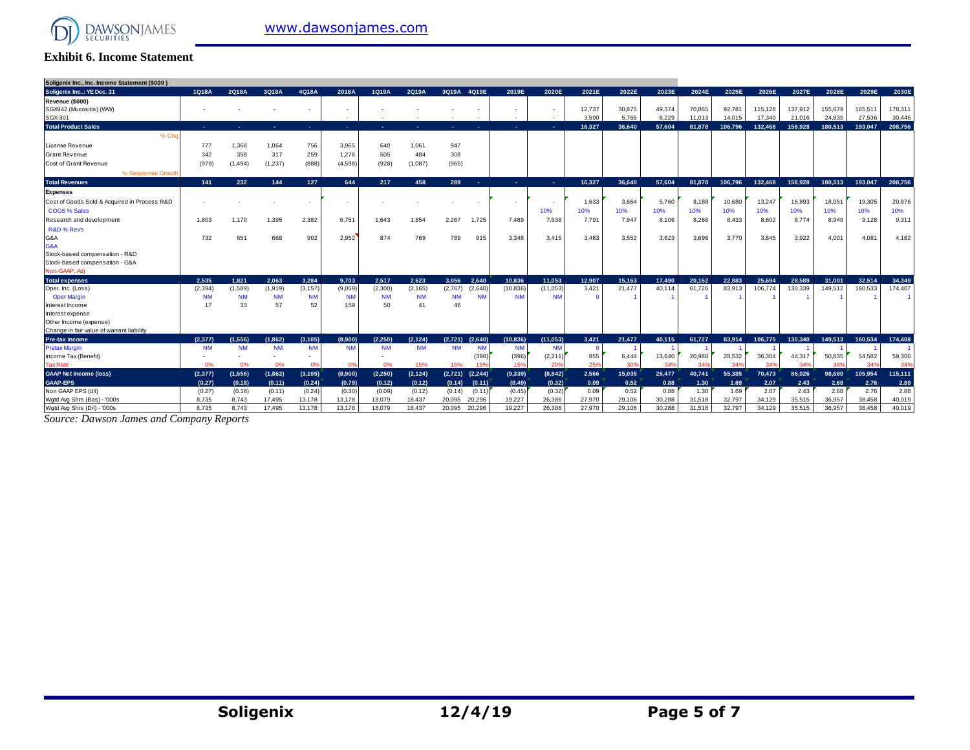

#### **Exhibit 6. Income Statement**

| Soligenix Inc., Inc. Income Statement (\$000) |           |           |           |                |                          |           |            |                                 |                          |                      |                   |        |        |        |         |         |         |                 |         |         |
|-----------------------------------------------|-----------|-----------|-----------|----------------|--------------------------|-----------|------------|---------------------------------|--------------------------|----------------------|-------------------|--------|--------|--------|---------|---------|---------|-----------------|---------|---------|
| Soligenix Inc: YE Dec. 31                     | 1Q18A     | 2Q18A     | 3Q18A     | 4Q18A          | 2018A                    | 1Q19A     | 2Q19A      | 3Q19A 4Q19E                     | 2019E                    | 2020E                | 2021E             | 2022E  | 2023E  | 2024E  | 2025E   | 2026E   | 2027E   | 2028E           | 2029E   | 2030E   |
| Revenue (\$000)                               |           |           |           |                |                          |           |            |                                 |                          |                      |                   |        |        |        |         |         |         |                 |         |         |
| SGX942 (Mucositis) (WW)                       |           |           |           |                |                          |           |            |                                 |                          |                      | 12,737            | 30,875 | 49,374 | 70.865 | 92.781  | 115,128 | 137,912 | 155,679         | 165,51  | 178,311 |
| SGX-301                                       |           |           |           |                | $\overline{\phantom{a}}$ |           |            |                                 | $\overline{\phantom{a}}$ |                      | 3.590             | 5.765  | 8.229  | 11.013 | 14.015  | 17.340  | 21.016  | 24,835          | 27.536  | 30,446  |
| <b>Total Product Sales</b>                    | . –       | ٠         | . .       | . п.           | <b>COL</b>               | ж.        | <b>COL</b> | ۰.<br><b>COL</b>                | ×.                       | ×.                   | 16.327            | 36.640 | 57.604 | 81,878 | 106.796 | 132.468 | 158,928 | 180.513         | 193,047 | 208,756 |
| % Ch                                          |           |           |           |                |                          |           |            |                                 |                          |                      |                   |        |        |        |         |         |         |                 |         |         |
| <b>License Revenue</b>                        | 777       | 1,368     | 1,064     | 756            | 3,965                    | 640       | 1,061      | 947                             |                          |                      |                   |        |        |        |         |         |         |                 |         |         |
| <b>Grant Revenue</b>                          | 342       | 358       | 317       | 259            | 1,276                    | 505       | 484        | 308                             |                          |                      |                   |        |        |        |         |         |         |                 |         |         |
| <b>Cost of Grant Revenue</b>                  | (979)     | (1, 494)  | (1, 237)  | (888)          | (4,598)                  | (928)     | (1,087)    | (965)                           |                          |                      |                   |        |        |        |         |         |         |                 |         |         |
| % Sequential Growth                           |           |           |           |                |                          |           |            |                                 |                          |                      |                   |        |        |        |         |         |         |                 |         |         |
| <b>Total Revenues</b>                         | 141       | 232       | 144       | 127            | 644                      | 217       | 458        | 289<br>-41                      | ×.                       | ×.                   | 16.327            | 36.640 | 57.604 | 81.878 | 106.796 | 132.468 | 158.928 | 180.513         | 193.047 | 208.756 |
| <b>Expenses</b>                               |           |           |           |                |                          |           |            |                                 |                          |                      |                   |        |        |        |         |         |         |                 |         |         |
| Cost of Goods Sold & Acquired in Process R&D  |           |           |           |                | $\overline{\phantom{a}}$ |           |            |                                 | $\overline{\phantom{a}}$ |                      | 1.633             | 3,664  | 5.760  | 8,188  | 10,680  | 13,247  | 15,893  | 18,05'          | 19,305  | 20,876  |
| <b>COGS % Sales</b>                           |           |           |           |                |                          |           |            |                                 |                          | 10%                  | 10%               | 10%    | 10%    | 10%    | 10%     | 10%     | 10%     | 10%             | 10%     | 10%     |
| Research and development                      | 1.803     | 1.170     | 1,395     | 2,382          | 6,751                    | 1.643     | 1,854      | 2,267<br>1,725                  | 7,489                    | 7,638                | 7,791             | 7,947  | 8,106  | 8,268  | 8,433   | 8,602   | 8,774   | 8,949           | 9,128   | 9,311   |
| R&D % Revs                                    |           |           |           |                |                          |           |            |                                 |                          |                      |                   |        |        |        |         |         |         |                 |         |         |
| G&A                                           | 732       | 651       | 668       | 902            | 2.952                    | 874       | 769        | 789<br>915                      | 3,348                    | 3.415                | 3.483             | 3.552  | 3.623  | 3.696  | 3,770   | 3.845   | 3.922   | $4,00^{\circ}$  | 4,081   | 4,162   |
| G&A                                           |           |           |           |                |                          |           |            |                                 |                          |                      |                   |        |        |        |         |         |         |                 |         |         |
| Stock-based compensation - R&D                |           |           |           |                |                          |           |            |                                 |                          |                      |                   |        |        |        |         |         |         |                 |         |         |
| Stock-based compensation - G&A                |           |           |           |                |                          |           |            |                                 |                          |                      |                   |        |        |        |         |         |         |                 |         |         |
| Non-GAAP, Adi                                 |           |           |           |                |                          |           |            |                                 |                          |                      |                   |        |        |        |         |         |         |                 |         |         |
| <b>Total expenses</b>                         | 2.535     | 1.821     | 2.063     | 3.284          | 9.703                    | 2.517     | 2.623      | 2.640<br>3.056                  | 10.836                   | 11.053               | 12.907            | 15.163 | 17.490 | 20.152 | 22.883  | 25.694  | 28.589  | 31,001          | 32.514  | 34,349  |
| Oper. Inc. (Loss)                             | (2, 394)  | (1,589)   | (1, 919)  | (3, 157)       | (9,059)                  | (2,300)   | (2, 165)   | (2,767)<br>(2,640)              | (10, 836)                | (11,053)             | 3,421             | 21,477 | 40,114 | 61,726 | 83,913  | 106,774 | 130,339 | 149,512         | 160,533 | 174,407 |
| <b>Oper Margin</b>                            | <b>NM</b> | <b>NM</b> | <b>NM</b> | <b>NM</b>      | <b>NM</b>                | <b>NM</b> | <b>NM</b>  | <b>NM</b><br><b>NM</b>          | <b>NM</b>                | <b>NM</b>            | $\Omega$          |        |        |        |         |         |         |                 |         |         |
| Interest Income                               | 17        | 33        | 57        | 52             | 159                      | 50        | 41         | 46                              |                          |                      |                   |        |        |        |         |         |         |                 |         |         |
| Interest expense                              |           |           |           |                |                          |           |            |                                 |                          |                      |                   |        |        |        |         |         |         |                 |         |         |
| Other Income (expense)                        |           |           |           |                |                          |           |            |                                 |                          |                      |                   |        |        |        |         |         |         |                 |         |         |
| Change in fair value of warrant liability     |           |           |           |                |                          |           |            |                                 |                          |                      |                   |        |        |        |         |         |         |                 |         |         |
| <b>Pre-tax income</b>                         | (2.377)   | (1.556)   | (1.862)   | (3.105)        | (8.900)                  | (2.250)   | (2.124)    | (2.640)<br>(2.721)              | (10.836)                 | (11.053)             | 3.421<br>$\Omega$ | 21.477 | 40.115 | 61.727 | 83.914  | 106.775 | 130,340 | 149.513         | 160.534 | 174.408 |
| <b>Pretax Margir</b><br>Income Tax (Benefit)  | <b>NM</b> | <b>NM</b> | <b>NM</b> | <b>NM</b>      | <b>NM</b>                | <b>NM</b> | <b>NM</b>  | <b>NM</b><br><b>NM</b><br>(396) | <b>NM</b><br>(396)       | <b>NM</b><br>(2,211) | 855               | 6,444  | 13,640 | 20,988 | 28,532  | 36,304  | 44,317  | 50,835          | 54,582  | 59,300  |
| <b>Tax Rate</b>                               | 0%        | 0%        | 0%        | O <sup>9</sup> | - 0%                     | 0%        | 15%        | 15%<br>15%                      | 159                      | 20%                  | 25%               | 30%    | 34%    | 34%    | 34%     | 34%     | 34%     | 34 <sup>o</sup> | 34%     | 34%     |
| <b>GAAP Net Income (loss)</b>                 | (2,377)   | (1,556)   | (1,862)   | (3, 105)       | (8,900)                  | (2, 250)  | (2, 124)   | (2,721)<br>(2, 244)             | (9,339)                  | (8,842)              | 2.566             | 15.035 | 26,477 | 40.741 | 55.385  | 70.473  | 86.026  | 98.680          | 105,954 | 115,111 |
| <b>GAAP-EPS</b>                               | (0.27)    | (0.18)    | (0.11)    | (0.24)         | (0.79)                   | (0.12)    | (0.12)     | (0.14)<br>(0.11)                | (0.49)                   | (0.32)               | 0.09              | 0.52   | 0.88   | 1.30   | 1.69    | 2.07    | 2.43    | 2.68            | 2.76    | 2.88    |
| Non GAAP EPS (dil)                            | (0.27)    | (0.18)    | (0.11)    | (0.24)         | (0.30)                   | (0.09)    | (0.12)     | (0.11)<br>(0.14)                | (0.45)                   | (0.32)               | 0.09              | 0.52   | 0.88   | 1.30   | 1.69    | 2.07    | 2.43    | 2.68            | 2.76    | 2.88    |
| Wgtd Avg Shrs (Bas) - '000s                   | 8.735     | 8.743     | 17,495    | 13,178         | 13,178                   | 18,079    | 18,437     | 20,296<br>20,095                | 19,227                   | 26,386               | 27,970            | 29,106 | 30,288 | 31,518 | 32,797  | 34,129  | 35,515  | 36,957          | 38.458  | 40,019  |
| Wgtd Avg Shrs (Dil) - '000s                   | 8.735     | 8.743     | 17.495    | 13.178         | 13.178                   | 18,079    | 18.437     | 20.296<br>20.095                | 19.227                   | 26,386               | 27,970            | 29,106 | 30.288 | 31.518 | 32.797  | 34.129  | 35.515  | 36.957          | 38.458  | 40.019  |

*Source: Dawson James and Company Reports*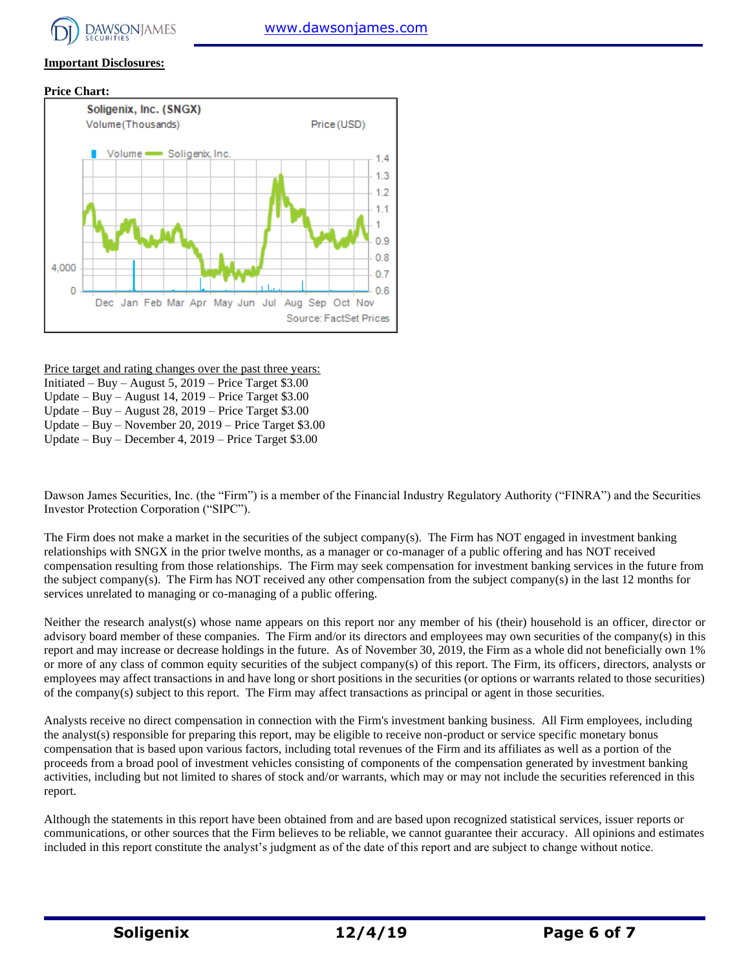

#### **Important Disclosures:**





Price target and rating changes over the past three years:

- Initiated Buy August 5, 2019 Price Target \$3.00
- Update Buy August 14, 2019 Price Target \$3.00 Update – Buy – August 28, 2019 – Price Target \$3.00
- Update Buy November 20, 2019 Price Target \$3.00

Update – Buy – December 4, 2019 – Price Target \$3.00

Dawson James Securities, Inc. (the "Firm") is a member of the Financial Industry Regulatory Authority ("FINRA") and the Securities Investor Protection Corporation ("SIPC").

The Firm does not make a market in the securities of the subject company(s). The Firm has NOT engaged in investment banking relationships with SNGX in the prior twelve months, as a manager or co-manager of a public offering and has NOT received compensation resulting from those relationships. The Firm may seek compensation for investment banking services in the future from the subject company(s). The Firm has NOT received any other compensation from the subject company(s) in the last 12 months for services unrelated to managing or co-managing of a public offering.

Neither the research analyst(s) whose name appears on this report nor any member of his (their) household is an officer, director or advisory board member of these companies. The Firm and/or its directors and employees may own securities of the company(s) in this report and may increase or decrease holdings in the future. As of November 30, 2019, the Firm as a whole did not beneficially own 1% or more of any class of common equity securities of the subject company(s) of this report. The Firm, its officers, directors, analysts or employees may affect transactions in and have long or short positions in the securities (or options or warrants related to those securities) of the company(s) subject to this report. The Firm may affect transactions as principal or agent in those securities.

Analysts receive no direct compensation in connection with the Firm's investment banking business. All Firm employees, including the analyst(s) responsible for preparing this report, may be eligible to receive non-product or service specific monetary bonus compensation that is based upon various factors, including total revenues of the Firm and its affiliates as well as a portion of the proceeds from a broad pool of investment vehicles consisting of components of the compensation generated by investment banking activities, including but not limited to shares of stock and/or warrants, which may or may not include the securities referenced in this report.

Although the statements in this report have been obtained from and are based upon recognized statistical services, issuer reports or communications, or other sources that the Firm believes to be reliable, we cannot guarantee their accuracy. All opinions and estimates included in this report constitute the analyst's judgment as of the date of this report and are subject to change without notice.